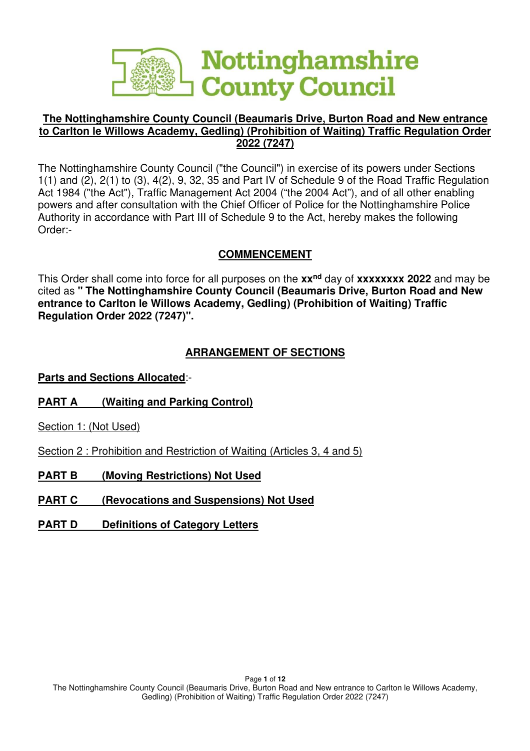

### **The Nottinghamshire County Council (Beaumaris Drive, Burton Road and New entrance to Carlton le Willows Academy, Gedling) (Prohibition of Waiting) Traffic Regulation Order 2022 (7247)**

The Nottinghamshire County Council ("the Council") in exercise of its powers under Sections 1(1) and (2), 2(1) to (3), 4(2), 9, 32, 35 and Part IV of Schedule 9 of the Road Traffic Regulation Act 1984 ("the Act"), Traffic Management Act 2004 ("the 2004 Act"), and of all other enabling powers and after consultation with the Chief Officer of Police for the Nottinghamshire Police Authority in accordance with Part III of Schedule 9 to the Act, hereby makes the following Order:-

## **COMMENCEMENT**

This Order shall come into force for all purposes on the **xxnd** day of **xxxxxxxx 2022** and may be cited as **" The Nottinghamshire County Council (Beaumaris Drive, Burton Road and New entrance to Carlton le Willows Academy, Gedling) (Prohibition of Waiting) Traffic Regulation Order 2022 (7247)".** 

# **ARRANGEMENT OF SECTIONS**

**Parts and Sections Allocated**:-

**PART A (Waiting and Parking Control)**

Section 1: (Not Used)

Section 2 : Prohibition and Restriction of Waiting (Articles 3, 4 and 5)

**PART B (Moving Restrictions) Not Used** 

**PART C (Revocations and Suspensions) Not Used** 

**PART D** Definitions of Category Letters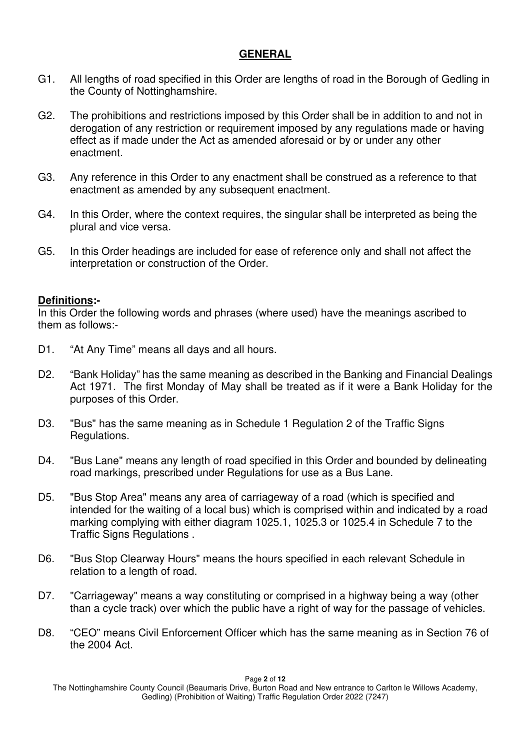### **GENERAL**

- G1. All lengths of road specified in this Order are lengths of road in the Borough of Gedling in the County of Nottinghamshire.
- G2. The prohibitions and restrictions imposed by this Order shall be in addition to and not in derogation of any restriction or requirement imposed by any regulations made or having effect as if made under the Act as amended aforesaid or by or under any other enactment.
- G3. Any reference in this Order to any enactment shall be construed as a reference to that enactment as amended by any subsequent enactment.
- G4. In this Order, where the context requires, the singular shall be interpreted as being the plural and vice versa.
- G5. In this Order headings are included for ease of reference only and shall not affect the interpretation or construction of the Order.

### **Definitions:-**

In this Order the following words and phrases (where used) have the meanings ascribed to them as follows:-

- D1. "At Any Time" means all days and all hours.
- D2. "Bank Holiday" has the same meaning as described in the Banking and Financial Dealings Act 1971. The first Monday of May shall be treated as if it were a Bank Holiday for the purposes of this Order.
- D3. "Bus" has the same meaning as in Schedule 1 Regulation 2 of the Traffic Signs Regulations.
- D4. "Bus Lane" means any length of road specified in this Order and bounded by delineating road markings, prescribed under Regulations for use as a Bus Lane.
- D5. "Bus Stop Area" means any area of carriageway of a road (which is specified and intended for the waiting of a local bus) which is comprised within and indicated by a road marking complying with either diagram 1025.1, 1025.3 or 1025.4 in Schedule 7 to the Traffic Signs Regulations .
- D6. "Bus Stop Clearway Hours" means the hours specified in each relevant Schedule in relation to a length of road.
- D7. "Carriageway" means a way constituting or comprised in a highway being a way (other than a cycle track) over which the public have a right of way for the passage of vehicles.
- D8. "CEO" means Civil Enforcement Officer which has the same meaning as in Section 76 of the 2004 Act.

The Nottinghamshire County Council (Beaumaris Drive, Burton Road and New entrance to Carlton le Willows Academy, Gedling) (Prohibition of Waiting) Traffic Regulation Order 2022 (7247)

#### Page **2** of **12**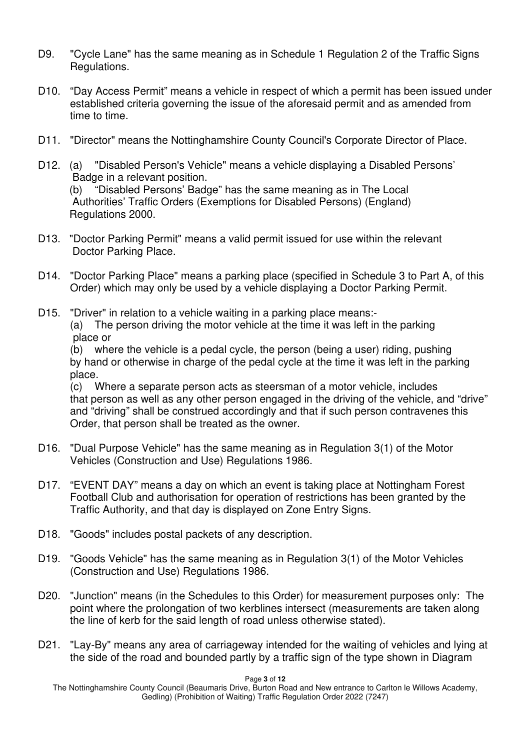- D9. "Cycle Lane" has the same meaning as in Schedule 1 Regulation 2 of the Traffic Signs Regulations.
- D10. "Day Access Permit" means a vehicle in respect of which a permit has been issued under established criteria governing the issue of the aforesaid permit and as amended from time to time.
- D11. "Director" means the Nottinghamshire County Council's Corporate Director of Place.
- D12. (a) "Disabled Person's Vehicle" means a vehicle displaying a Disabled Persons' Badge in a relevant position. (b) "Disabled Persons' Badge" has the same meaning as in The Local Authorities' Traffic Orders (Exemptions for Disabled Persons) (England) Regulations 2000.
- D13. "Doctor Parking Permit" means a valid permit issued for use within the relevant Doctor Parking Place.
- D14. "Doctor Parking Place" means a parking place (specified in Schedule 3 to Part A, of this Order) which may only be used by a vehicle displaying a Doctor Parking Permit.
- D15. "Driver" in relation to a vehicle waiting in a parking place means:-(a) The person driving the motor vehicle at the time it was left in the parking place or

(b) where the vehicle is a pedal cycle, the person (being a user) riding, pushing by hand or otherwise in charge of the pedal cycle at the time it was left in the parking place.

(c) Where a separate person acts as steersman of a motor vehicle, includes that person as well as any other person engaged in the driving of the vehicle, and "drive" and "driving" shall be construed accordingly and that if such person contravenes this Order, that person shall be treated as the owner.

- D16. "Dual Purpose Vehicle" has the same meaning as in Regulation 3(1) of the Motor Vehicles (Construction and Use) Regulations 1986.
- D17. "EVENT DAY" means a day on which an event is taking place at Nottingham Forest Football Club and authorisation for operation of restrictions has been granted by the Traffic Authority, and that day is displayed on Zone Entry Signs.
- D18. "Goods" includes postal packets of any description.
- D19. "Goods Vehicle" has the same meaning as in Regulation 3(1) of the Motor Vehicles (Construction and Use) Regulations 1986.
- D20. "Junction" means (in the Schedules to this Order) for measurement purposes only: The point where the prolongation of two kerblines intersect (measurements are taken along the line of kerb for the said length of road unless otherwise stated).
- D21. "Lay-By" means any area of carriageway intended for the waiting of vehicles and lying at the side of the road and bounded partly by a traffic sign of the type shown in Diagram

Page **3** of **12**  The Nottinghamshire County Council (Beaumaris Drive, Burton Road and New entrance to Carlton le Willows Academy, Gedling) (Prohibition of Waiting) Traffic Regulation Order 2022 (7247)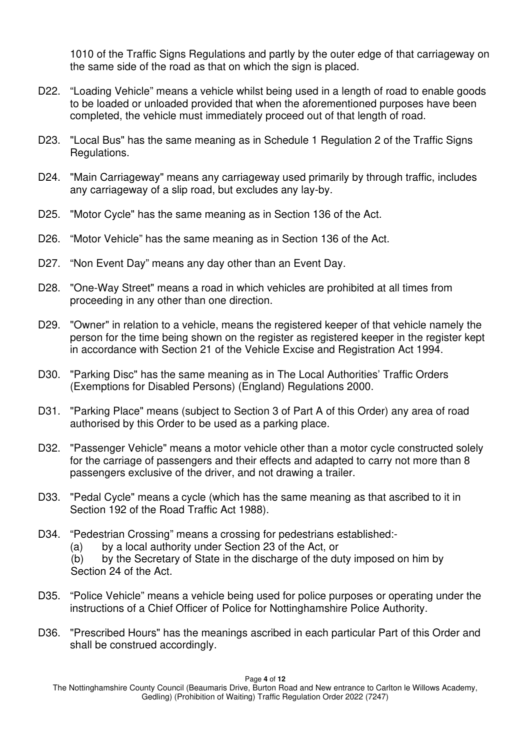1010 of the Traffic Signs Regulations and partly by the outer edge of that carriageway on the same side of the road as that on which the sign is placed.

- D22. "Loading Vehicle" means a vehicle whilst being used in a length of road to enable goods to be loaded or unloaded provided that when the aforementioned purposes have been completed, the vehicle must immediately proceed out of that length of road.
- D23. "Local Bus" has the same meaning as in Schedule 1 Regulation 2 of the Traffic Signs Regulations.
- D24. "Main Carriageway" means any carriageway used primarily by through traffic, includes any carriageway of a slip road, but excludes any lay-by.
- D25. "Motor Cycle" has the same meaning as in Section 136 of the Act.
- D26. "Motor Vehicle" has the same meaning as in Section 136 of the Act.
- D27. "Non Event Day" means any day other than an Event Day.
- D28. "One-Way Street" means a road in which vehicles are prohibited at all times from proceeding in any other than one direction.
- D29. "Owner" in relation to a vehicle, means the registered keeper of that vehicle namely the person for the time being shown on the register as registered keeper in the register kept in accordance with Section 21 of the Vehicle Excise and Registration Act 1994.
- D30. "Parking Disc" has the same meaning as in The Local Authorities' Traffic Orders (Exemptions for Disabled Persons) (England) Regulations 2000.
- D31. "Parking Place" means (subject to Section 3 of Part A of this Order) any area of road authorised by this Order to be used as a parking place.
- D32. "Passenger Vehicle" means a motor vehicle other than a motor cycle constructed solely for the carriage of passengers and their effects and adapted to carry not more than 8 passengers exclusive of the driver, and not drawing a trailer.
- D33. "Pedal Cycle" means a cycle (which has the same meaning as that ascribed to it in Section 192 of the Road Traffic Act 1988).
- D34. "Pedestrian Crossing" means a crossing for pedestrians established:-
	- (a) by a local authority under Section 23 of the Act, or
	- (b) by the Secretary of State in the discharge of the duty imposed on him by Section 24 of the Act.
- D35. "Police Vehicle" means a vehicle being used for police purposes or operating under the instructions of a Chief Officer of Police for Nottinghamshire Police Authority.
- D36. "Prescribed Hours" has the meanings ascribed in each particular Part of this Order and shall be construed accordingly.

Page **4** of **12**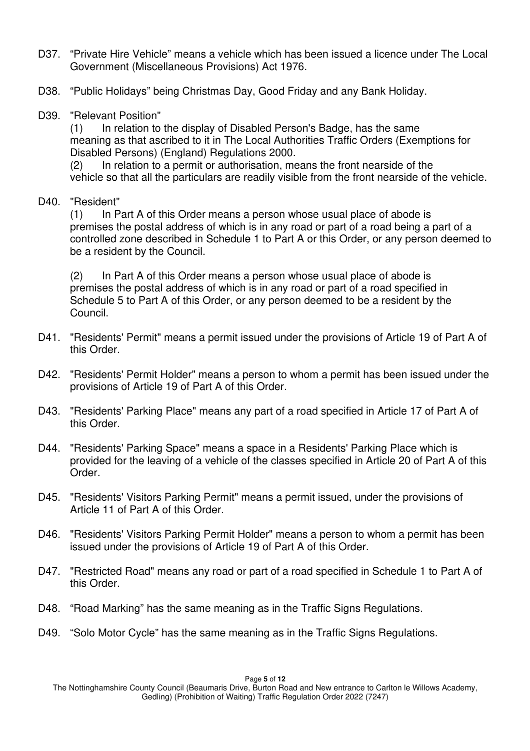- D37. "Private Hire Vehicle" means a vehicle which has been issued a licence under The Local Government (Miscellaneous Provisions) Act 1976.
- D38. "Public Holidays" being Christmas Day, Good Friday and any Bank Holiday.
- D39. "Relevant Position"

(1) In relation to the display of Disabled Person's Badge, has the same meaning as that ascribed to it in The Local Authorities Traffic Orders (Exemptions for Disabled Persons) (England) Regulations 2000.

(2) In relation to a permit or authorisation, means the front nearside of the vehicle so that all the particulars are readily visible from the front nearside of the vehicle.

### D40. "Resident"

(1) In Part A of this Order means a person whose usual place of abode is premises the postal address of which is in any road or part of a road being a part of a controlled zone described in Schedule 1 to Part A or this Order, or any person deemed to be a resident by the Council.

(2) In Part A of this Order means a person whose usual place of abode is premises the postal address of which is in any road or part of a road specified in Schedule 5 to Part A of this Order, or any person deemed to be a resident by the Council.

- D41. "Residents' Permit" means a permit issued under the provisions of Article 19 of Part A of this Order.
- D42. "Residents' Permit Holder" means a person to whom a permit has been issued under the provisions of Article 19 of Part A of this Order.
- D43. "Residents' Parking Place" means any part of a road specified in Article 17 of Part A of this Order.
- D44. "Residents' Parking Space" means a space in a Residents' Parking Place which is provided for the leaving of a vehicle of the classes specified in Article 20 of Part A of this Order.
- D45. "Residents' Visitors Parking Permit" means a permit issued, under the provisions of Article 11 of Part A of this Order.
- D46. "Residents' Visitors Parking Permit Holder" means a person to whom a permit has been issued under the provisions of Article 19 of Part A of this Order.
- D47. "Restricted Road" means any road or part of a road specified in Schedule 1 to Part A of this Order.
- D48. "Road Marking" has the same meaning as in the Traffic Signs Regulations.
- D49. "Solo Motor Cycle" has the same meaning as in the Traffic Signs Regulations.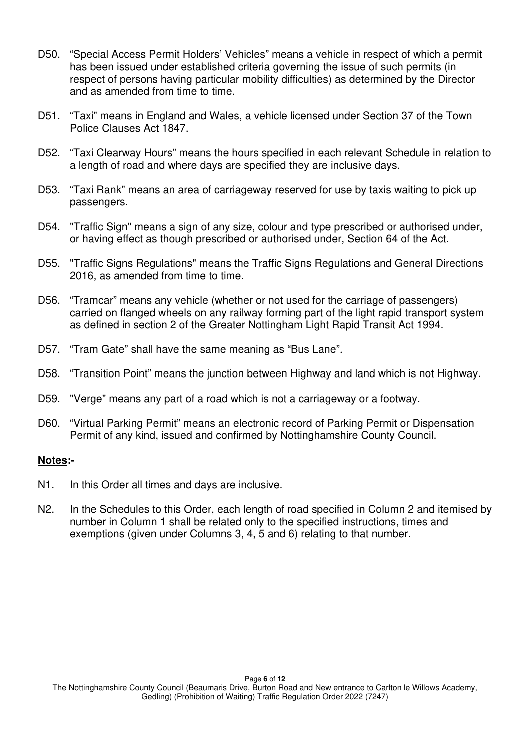- D50. "Special Access Permit Holders' Vehicles" means a vehicle in respect of which a permit has been issued under established criteria governing the issue of such permits (in respect of persons having particular mobility difficulties) as determined by the Director and as amended from time to time.
- D51. "Taxi" means in England and Wales, a vehicle licensed under Section 37 of the Town Police Clauses Act 1847.
- D52. "Taxi Clearway Hours" means the hours specified in each relevant Schedule in relation to a length of road and where days are specified they are inclusive days.
- D53. "Taxi Rank" means an area of carriageway reserved for use by taxis waiting to pick up passengers.
- D54. "Traffic Sign" means a sign of any size, colour and type prescribed or authorised under, or having effect as though prescribed or authorised under, Section 64 of the Act.
- D55. "Traffic Signs Regulations" means the Traffic Signs Regulations and General Directions 2016, as amended from time to time.
- D56. "Tramcar" means any vehicle (whether or not used for the carriage of passengers) carried on flanged wheels on any railway forming part of the light rapid transport system as defined in section 2 of the Greater Nottingham Light Rapid Transit Act 1994.
- D57. "Tram Gate" shall have the same meaning as "Bus Lane".
- D58. "Transition Point" means the junction between Highway and land which is not Highway.
- D59. "Verge" means any part of a road which is not a carriageway or a footway.
- D60. "Virtual Parking Permit" means an electronic record of Parking Permit or Dispensation Permit of any kind, issued and confirmed by Nottinghamshire County Council.

### **Notes:-**

- N1. In this Order all times and days are inclusive.
- N2. In the Schedules to this Order, each length of road specified in Column 2 and itemised by number in Column 1 shall be related only to the specified instructions, times and exemptions (given under Columns 3, 4, 5 and 6) relating to that number.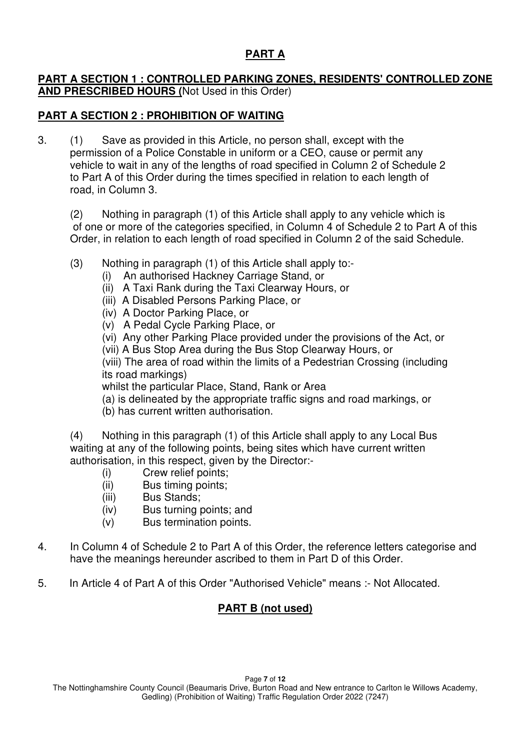# **PART A**

### **PART A SECTION 1 : CONTROLLED PARKING ZONES, RESIDENTS' CONTROLLED ZONE AND PRESCRIBED HOURS (**Not Used in this Order)

### **PART A SECTION 2 : PROHIBITION OF WAITING**

3. (1) Save as provided in this Article, no person shall, except with the permission of a Police Constable in uniform or a CEO, cause or permit any vehicle to wait in any of the lengths of road specified in Column 2 of Schedule 2 to Part A of this Order during the times specified in relation to each length of road, in Column 3.

(2) Nothing in paragraph (1) of this Article shall apply to any vehicle which is of one or more of the categories specified, in Column 4 of Schedule 2 to Part A of this Order, in relation to each length of road specified in Column 2 of the said Schedule.

- (3) Nothing in paragraph (1) of this Article shall apply to:-
	- (i) An authorised Hackney Carriage Stand, or
	- (ii) A Taxi Rank during the Taxi Clearway Hours, or
	- (iii) A Disabled Persons Parking Place, or
	- (iv) A Doctor Parking Place, or
	- (v) A Pedal Cycle Parking Place, or
	- (vi) Any other Parking Place provided under the provisions of the Act, or
	- (vii) A Bus Stop Area during the Bus Stop Clearway Hours, or

 (viii) The area of road within the limits of a Pedestrian Crossing (including its road markings)

whilst the particular Place, Stand, Rank or Area

- (a) is delineated by the appropriate traffic signs and road markings, or
- (b) has current written authorisation.

 (4) Nothing in this paragraph (1) of this Article shall apply to any Local Bus waiting at any of the following points, being sites which have current written authorisation, in this respect, given by the Director:-

- (i) Crew relief points;
- (ii) Bus timing points;
- (iii) Bus Stands;
- (iv) Bus turning points; and
- (v) Bus termination points.
- 4. In Column 4 of Schedule 2 to Part A of this Order, the reference letters categorise and have the meanings hereunder ascribed to them in Part D of this Order.
- 5. In Article 4 of Part A of this Order "Authorised Vehicle" means :- Not Allocated.

## **PART B (not used)**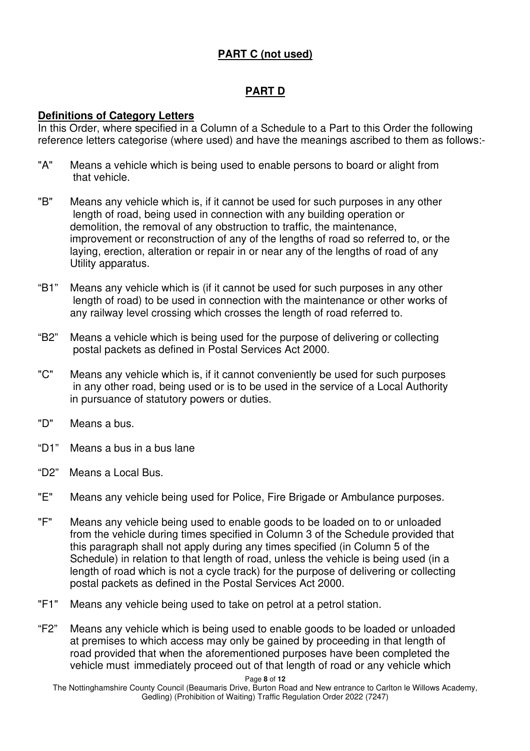# **PART C (not used)**

# **PART D**

### **Definitions of Category Letters**

In this Order, where specified in a Column of a Schedule to a Part to this Order the following reference letters categorise (where used) and have the meanings ascribed to them as follows:-

- "A" Means a vehicle which is being used to enable persons to board or alight from that vehicle.
- "B" Means any vehicle which is, if it cannot be used for such purposes in any other length of road, being used in connection with any building operation or demolition, the removal of any obstruction to traffic, the maintenance, improvement or reconstruction of any of the lengths of road so referred to, or the laying, erection, alteration or repair in or near any of the lengths of road of any Utility apparatus.
- "B1" Means any vehicle which is (if it cannot be used for such purposes in any other length of road) to be used in connection with the maintenance or other works of any railway level crossing which crosses the length of road referred to.
- "B2" Means a vehicle which is being used for the purpose of delivering or collecting postal packets as defined in Postal Services Act 2000.
- "C" Means any vehicle which is, if it cannot conveniently be used for such purposes in any other road, being used or is to be used in the service of a Local Authority in pursuance of statutory powers or duties.
- "D" Means a bus.
- "D1" Means a bus in a bus lane
- "D2" Means a Local Bus.
- "E" Means any vehicle being used for Police, Fire Brigade or Ambulance purposes.
- "F" Means any vehicle being used to enable goods to be loaded on to or unloaded from the vehicle during times specified in Column 3 of the Schedule provided that this paragraph shall not apply during any times specified (in Column 5 of the Schedule) in relation to that length of road, unless the vehicle is being used (in a length of road which is not a cycle track) for the purpose of delivering or collecting postal packets as defined in the Postal Services Act 2000.
- "F1" Means any vehicle being used to take on petrol at a petrol station.
- "F2" Means any vehicle which is being used to enable goods to be loaded or unloaded at premises to which access may only be gained by proceeding in that length of road provided that when the aforementioned purposes have been completed the vehicle must immediately proceed out of that length of road or any vehicle which

Page **8** of **12** 

The Nottinghamshire County Council (Beaumaris Drive, Burton Road and New entrance to Carlton le Willows Academy, Gedling) (Prohibition of Waiting) Traffic Regulation Order 2022 (7247)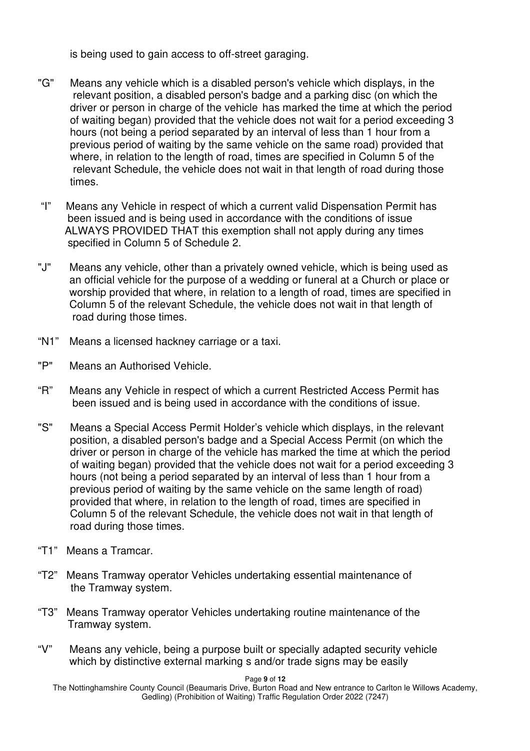is being used to gain access to off-street garaging.

- "G" Means any vehicle which is a disabled person's vehicle which displays, in the relevant position, a disabled person's badge and a parking disc (on which the driver or person in charge of the vehicle has marked the time at which the period of waiting began) provided that the vehicle does not wait for a period exceeding 3 hours (not being a period separated by an interval of less than 1 hour from a previous period of waiting by the same vehicle on the same road) provided that where, in relation to the length of road, times are specified in Column 5 of the relevant Schedule, the vehicle does not wait in that length of road during those times.
- "I" Means any Vehicle in respect of which a current valid Dispensation Permit has been issued and is being used in accordance with the conditions of issue ALWAYS PROVIDED THAT this exemption shall not apply during any times specified in Column 5 of Schedule 2.
- "J" Means any vehicle, other than a privately owned vehicle, which is being used as an official vehicle for the purpose of a wedding or funeral at a Church or place or worship provided that where, in relation to a length of road, times are specified in Column 5 of the relevant Schedule, the vehicle does not wait in that length of road during those times.
- "N1" Means a licensed hackney carriage or a taxi.
- "P" Means an Authorised Vehicle.
- "R" Means any Vehicle in respect of which a current Restricted Access Permit has been issued and is being used in accordance with the conditions of issue.
- "S" Means a Special Access Permit Holder's vehicle which displays, in the relevant position, a disabled person's badge and a Special Access Permit (on which the driver or person in charge of the vehicle has marked the time at which the period of waiting began) provided that the vehicle does not wait for a period exceeding 3 hours (not being a period separated by an interval of less than 1 hour from a previous period of waiting by the same vehicle on the same length of road) provided that where, in relation to the length of road, times are specified in Column 5 of the relevant Schedule, the vehicle does not wait in that length of road during those times.
- "T1" Means a Tramcar.
- "T2" Means Tramway operator Vehicles undertaking essential maintenance of the Tramway system.
- "T3" Means Tramway operator Vehicles undertaking routine maintenance of the Tramway system.
- "V" Means any vehicle, being a purpose built or specially adapted security vehicle which by distinctive external marking s and/or trade signs may be easily

Page **9** of **12** 

The Nottinghamshire County Council (Beaumaris Drive, Burton Road and New entrance to Carlton le Willows Academy, Gedling) (Prohibition of Waiting) Traffic Regulation Order 2022 (7247)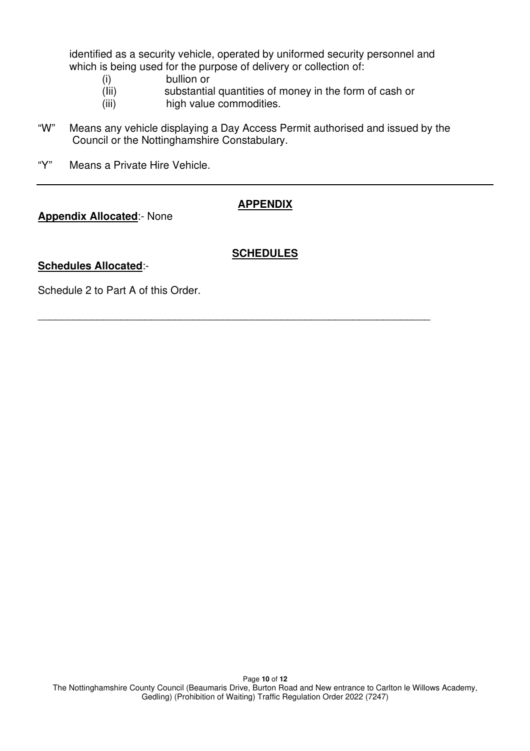identified as a security vehicle, operated by uniformed security personnel and which is being used for the purpose of delivery or collection of:

- (i) bullion or
- (Iii) substantial quantities of money in the form of cash or
- (iii) high value commodities.
- "W" Means any vehicle displaying a Day Access Permit authorised and issued by the Council or the Nottinghamshire Constabulary.
- "Y" Means a Private Hire Vehicle.

### **APPENDIX**

#### **Appendix Allocated**:- None

#### **Schedules Allocated**:-

### **SCHEDULES**

 $\overline{\phantom{a}}$  , and the contribution of the contribution of the contribution of the contribution of the contribution of the contribution of the contribution of the contribution of the contribution of the contribution of the

Schedule 2 to Part A of this Order.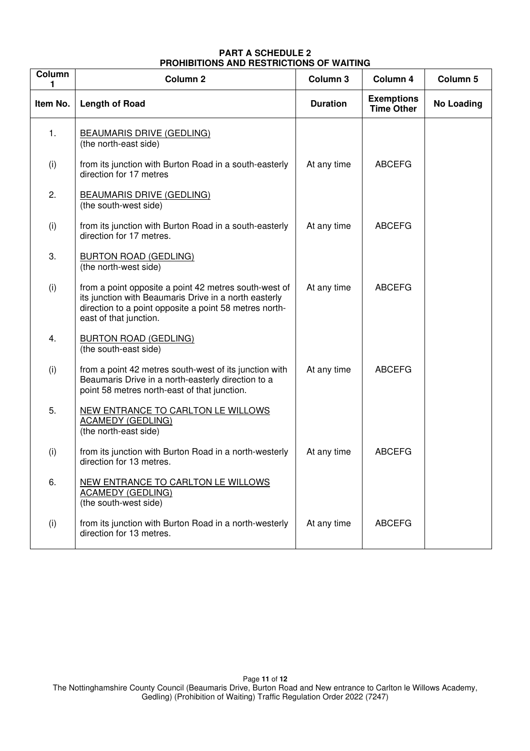#### **PART A SCHEDULE 2 PROHIBITIONS AND RESTRICTIONS OF WAITING**

| Column   | Column <sub>2</sub>                                                                                                                                                                                | Column 3        | Column 4                               | Column 5          |
|----------|----------------------------------------------------------------------------------------------------------------------------------------------------------------------------------------------------|-----------------|----------------------------------------|-------------------|
| Item No. | <b>Length of Road</b>                                                                                                                                                                              | <b>Duration</b> | <b>Exemptions</b><br><b>Time Other</b> | <b>No Loading</b> |
| 1.       | <b>BEAUMARIS DRIVE (GEDLING)</b><br>(the north-east side)                                                                                                                                          |                 |                                        |                   |
| (i)      | from its junction with Burton Road in a south-easterly<br>direction for 17 metres                                                                                                                  | At any time     | <b>ABCEFG</b>                          |                   |
| 2.       | <b>BEAUMARIS DRIVE (GEDLING)</b><br>(the south-west side)                                                                                                                                          |                 |                                        |                   |
| (i)      | from its junction with Burton Road in a south-easterly<br>direction for 17 metres.                                                                                                                 | At any time     | <b>ABCEFG</b>                          |                   |
| 3.       | <b>BURTON ROAD (GEDLING)</b><br>(the north-west side)                                                                                                                                              |                 |                                        |                   |
| (i)      | from a point opposite a point 42 metres south-west of<br>its junction with Beaumaris Drive in a north easterly<br>direction to a point opposite a point 58 metres north-<br>east of that junction. | At any time     | <b>ABCEFG</b>                          |                   |
| 4.       | <b>BURTON ROAD (GEDLING)</b><br>(the south-east side)                                                                                                                                              |                 |                                        |                   |
| (i)      | from a point 42 metres south-west of its junction with<br>Beaumaris Drive in a north-easterly direction to a<br>point 58 metres north-east of that junction.                                       | At any time     | <b>ABCEFG</b>                          |                   |
| 5.       | NEW ENTRANCE TO CARLTON LE WILLOWS<br><b>ACAMEDY (GEDLING)</b><br>(the north-east side)                                                                                                            |                 |                                        |                   |
| (i)      | from its junction with Burton Road in a north-westerly<br>direction for 13 metres.                                                                                                                 | At any time     | <b>ABCEFG</b>                          |                   |
| 6.       | NEW ENTRANCE TO CARLTON LE WILLOWS<br><b>ACAMEDY (GEDLING)</b><br>(the south-west side)                                                                                                            |                 |                                        |                   |
| (i)      | from its junction with Burton Road in a north-westerly<br>direction for 13 metres.                                                                                                                 | At any time     | <b>ABCEFG</b>                          |                   |